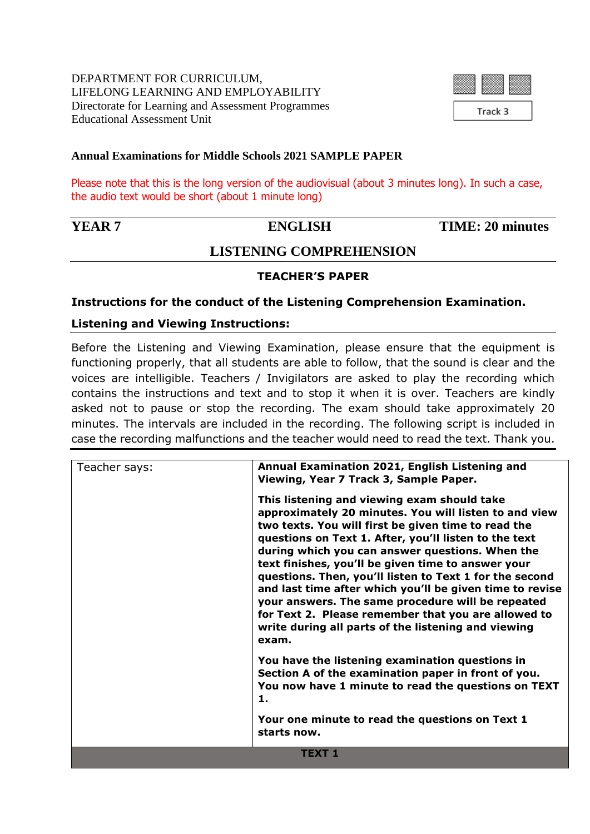

# **Annual Examinations for Middle Schools 2021 SAMPLE PAPER**

Please note that this is the long version of the audiovisual (about 3 minutes long). In such a case, the audio text would be short (about 1 minute long)

**YEAR 7** ENGLISH TIME: 20 minutes

# **LISTENING COMPREHENSION**

# **TEACHER'S PAPER**

## **Instructions for the conduct of the Listening Comprehension Examination.**

## **Listening and Viewing Instructions:**

Before the Listening and Viewing Examination, please ensure that the equipment is functioning properly, that all students are able to follow, that the sound is clear and the voices are intelligible. Teachers / Invigilators are asked to play the recording which contains the instructions and text and to stop it when it is over. Teachers are kindly asked not to pause or stop the recording. The exam should take approximately 20 minutes. The intervals are included in the recording. The following script is included in case the recording malfunctions and the teacher would need to read the text. Thank you.

| Teacher says: | Annual Examination 2021, English Listening and<br>Viewing, Year 7 Track 3, Sample Paper.                                                                                                                                                                                                                                                                                                                                                                                                                                                                                                                                         |  |  |
|---------------|----------------------------------------------------------------------------------------------------------------------------------------------------------------------------------------------------------------------------------------------------------------------------------------------------------------------------------------------------------------------------------------------------------------------------------------------------------------------------------------------------------------------------------------------------------------------------------------------------------------------------------|--|--|
|               | This listening and viewing exam should take<br>approximately 20 minutes. You will listen to and view<br>two texts. You will first be given time to read the<br>questions on Text 1. After, you'll listen to the text<br>during which you can answer questions. When the<br>text finishes, you'll be given time to answer your<br>questions. Then, you'll listen to Text 1 for the second<br>and last time after which you'll be given time to revise<br>your answers. The same procedure will be repeated<br>for Text 2. Please remember that you are allowed to<br>write during all parts of the listening and viewing<br>exam. |  |  |
|               | You have the listening examination questions in<br>Section A of the examination paper in front of you.<br>You now have 1 minute to read the questions on TEXT<br>1.                                                                                                                                                                                                                                                                                                                                                                                                                                                              |  |  |
|               | Your one minute to read the questions on Text 1<br>starts now.                                                                                                                                                                                                                                                                                                                                                                                                                                                                                                                                                                   |  |  |
| <b>TEXT 1</b> |                                                                                                                                                                                                                                                                                                                                                                                                                                                                                                                                                                                                                                  |  |  |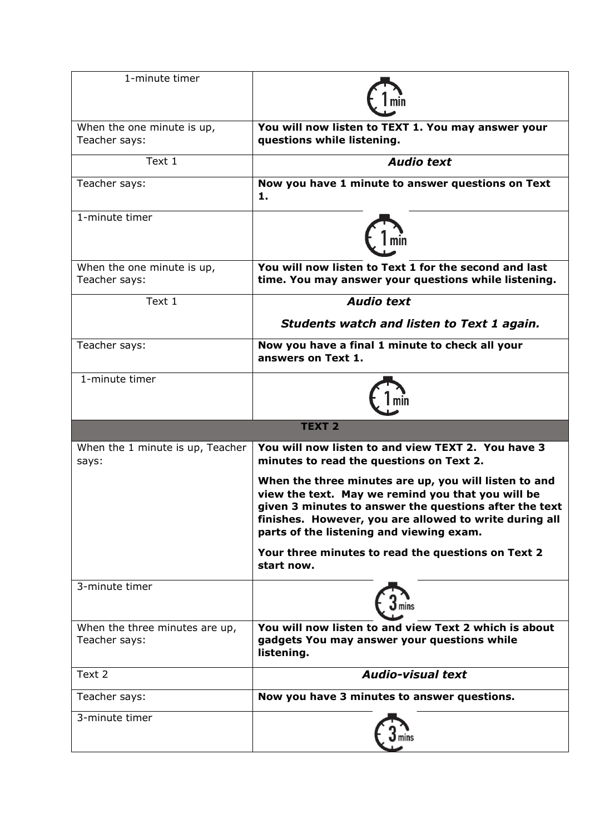| 1-minute timer                                  |                                                                                                                                                                                                                                                                            |  |  |  |
|-------------------------------------------------|----------------------------------------------------------------------------------------------------------------------------------------------------------------------------------------------------------------------------------------------------------------------------|--|--|--|
|                                                 |                                                                                                                                                                                                                                                                            |  |  |  |
| When the one minute is up,<br>Teacher says:     | You will now listen to TEXT 1. You may answer your<br>questions while listening.                                                                                                                                                                                           |  |  |  |
| Text 1                                          | <b>Audio text</b>                                                                                                                                                                                                                                                          |  |  |  |
| Teacher says:                                   | Now you have 1 minute to answer questions on Text<br>1.                                                                                                                                                                                                                    |  |  |  |
| 1-minute timer                                  |                                                                                                                                                                                                                                                                            |  |  |  |
| When the one minute is up,<br>Teacher says:     | You will now listen to Text 1 for the second and last<br>time. You may answer your questions while listening.                                                                                                                                                              |  |  |  |
| Text 1                                          | <b>Audio text</b>                                                                                                                                                                                                                                                          |  |  |  |
|                                                 | <b>Students watch and listen to Text 1 again.</b>                                                                                                                                                                                                                          |  |  |  |
| Teacher says:                                   | Now you have a final 1 minute to check all your<br>answers on Text 1.                                                                                                                                                                                                      |  |  |  |
| 1-minute timer                                  |                                                                                                                                                                                                                                                                            |  |  |  |
| <b>TEXT 2</b>                                   |                                                                                                                                                                                                                                                                            |  |  |  |
| When the 1 minute is up, Teacher<br>says:       | You will now listen to and view TEXT 2. You have 3<br>minutes to read the questions on Text 2.                                                                                                                                                                             |  |  |  |
|                                                 | When the three minutes are up, you will listen to and<br>view the text. May we remind you that you will be<br>given 3 minutes to answer the questions after the text<br>finishes. However, you are allowed to write during all<br>parts of the listening and viewing exam. |  |  |  |
|                                                 | Your three minutes to read the questions on Text 2<br>start now.                                                                                                                                                                                                           |  |  |  |
| 3-minute timer                                  |                                                                                                                                                                                                                                                                            |  |  |  |
| When the three minutes are up,<br>Teacher says: | You will now listen to and view Text 2 which is about<br>gadgets You may answer your questions while<br>listening.                                                                                                                                                         |  |  |  |
| Text 2                                          | <b>Audio-visual text</b>                                                                                                                                                                                                                                                   |  |  |  |
| Teacher says:                                   | Now you have 3 minutes to answer questions.                                                                                                                                                                                                                                |  |  |  |
| 3-minute timer                                  |                                                                                                                                                                                                                                                                            |  |  |  |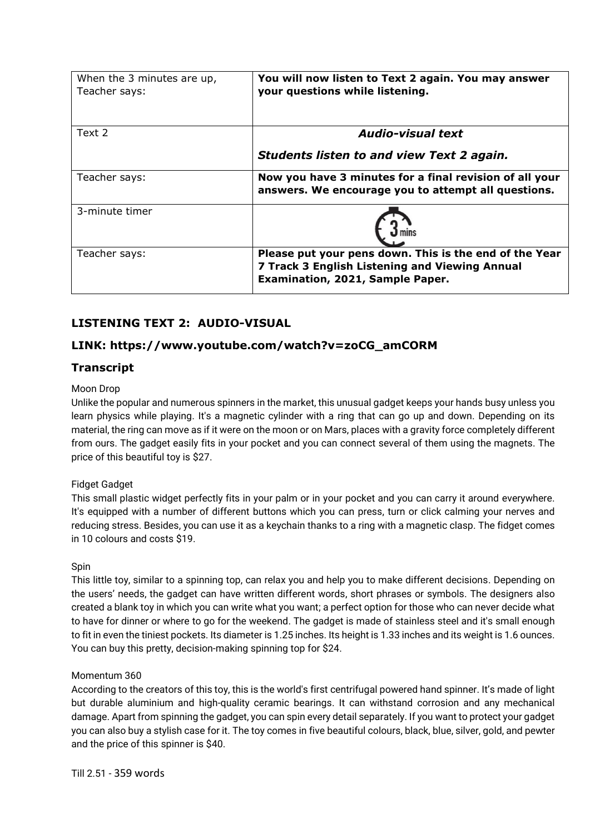| When the 3 minutes are up,<br>Teacher says: | You will now listen to Text 2 again. You may answer<br>your questions while listening.                                                       |
|---------------------------------------------|----------------------------------------------------------------------------------------------------------------------------------------------|
| Text 2                                      | <b>Audio-visual text</b>                                                                                                                     |
|                                             | <b>Students listen to and view Text 2 again.</b>                                                                                             |
| Teacher says:                               | Now you have 3 minutes for a final revision of all your<br>answers. We encourage you to attempt all questions.                               |
| 3-minute timer                              |                                                                                                                                              |
| Teacher says:                               | Please put your pens down. This is the end of the Year<br>7 Track 3 English Listening and Viewing Annual<br>Examination, 2021, Sample Paper. |

# **LISTENING TEXT 2: AUDIO-VISUAL**

# **LINK: https://www.youtube.com/watch?v=zoCG\_amCORM**

# **Transcript**

## Moon Drop

Unlike the popular and numerous spinners in the market, this unusual gadget keeps your hands busy unless you learn physics while playing. It's a magnetic cylinder with a ring that can go up and down. Depending on its material, the ring can move as if it were on the moon or on Mars, places with a gravity force completely different from ours. The gadget easily fits in your pocket and you can connect several of them using the magnets. The price of this beautiful toy is \$27.

## Fidget Gadget

This small plastic widget perfectly fits in your palm or in your pocket and you can carry it around everywhere. It's equipped with a number of different buttons which you can press, turn or click calming your nerves and reducing stress. Besides, you can use it as a keychain thanks to a ring with a magnetic clasp. The fidget comes in 10 colours and costs \$19.

## Spin

This little toy, similar to a spinning top, can relax you and help you to make different decisions. Depending on the users' needs, the gadget can have written different words, short phrases or symbols. The designers also created a blank toy in which you can write what you want; a perfect option for those who can never decide what to have for dinner or where to go for the weekend. The gadget is made of stainless steel and it's small enough to fit in even the tiniest pockets. Its diameter is 1.25 inches. Its height is 1.33 inches and its weight is 1.6 ounces. You can buy this pretty, decision-making spinning top for \$24.

## Momentum 360

According to the creators of this toy, this is the world's first centrifugal powered hand spinner. It's made of light but durable aluminium and high-quality ceramic bearings. It can withstand corrosion and any mechanical damage. Apart from spinning the gadget, you can spin every detail separately. If you want to protect your gadget you can also buy a stylish case for it. The toy comes in five beautiful colours, black, blue, silver, gold, and pewter and the price of this spinner is \$40.